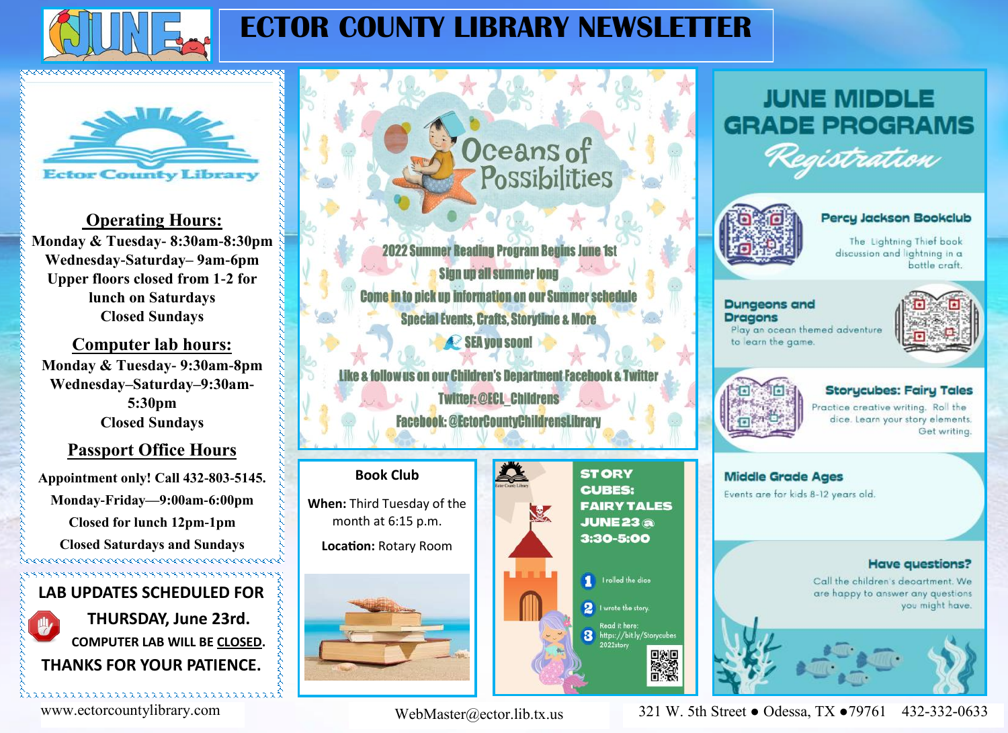

### **ECTOR COUNTY LIBRARY NEWSLETTER**

## **Ector County Library**

**Operating Hours: Monday & Tuesday- 8:30am-8:30pm Wednesday-Saturday– 9am-6pm Upper floors closed from 1-2 for lunch on Saturdays Closed Sundays** 

**Computer lab hours: Monday & Tuesday- 9:30am-8pm Wednesday–Saturday–9:30am-5:30pm Closed Sundays** 

#### **Passport Office Hours**

**Appointment only! Call 432-803-5145. Monday-Friday—9:00am-6:00pm Closed for lunch 12pm-1pm**

**Closed Saturdays and Sundays LAB UPDATES SCHEDULED FOR**

**THURSDAY, June 23rd. COMPUTER LAB WILL BE CLOSED. THANKS FOR YOUR PATIENCE.** 

iaaaaaaaaaaaaaaaaaaaaaaaaaaaaaaaaaa

Oceans of Possibilities

**2022 Summer Reading Program Begins June 1st Sign up all summer long** Come in to pick up information on our Summer schedule **Special Events, Crafts, Storytime & More** SEA you soon!

us on our Children's Denartment Facebook **Twitter: @ECL Childrens Facebook: @EctorCountyChildrensLibrary** 

#### **Book Club**

**When:** Third Tuesday of the month at 6:15 p.m.

**Location:** Rotary Room



**STORY CUBES: FAIRY TALES JUNE 23 a** 3:30-5:00



#### **JUNE MIDDLE GRADE PROGRAMS** istration



Percy Jackson Bookclub

The Lightning Thief book discussion and lightning in a bottle craft

**Dungeons and Dragons** Play an ocean themed adventure to learn the game.





#### **Storycubes: Fairy Tales**

Practice creative writing. Roll the dice. Learn your story elements. Get writing.



**Have questions?** 

Call the children's deoartment. We are happy to answer any questions you might have.

www.ectorcountylibrary.com 321 W. 5th Street ● Odessa, TX ●79761 432-332-0633

WebMaster@ector.lib.tx.us